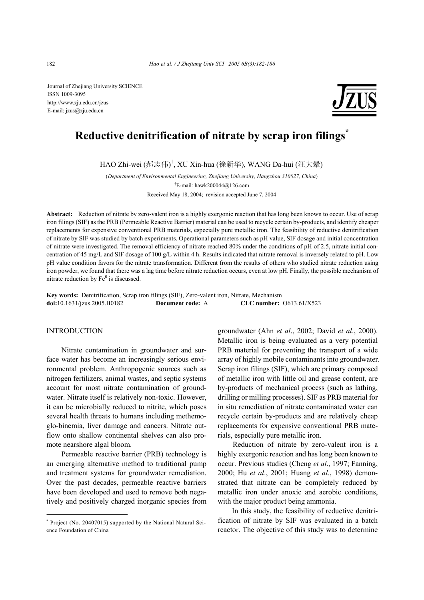Journal of Zhejiang University SCIENCE ISSN 1009-3095 http://www.zju.edu.cn/jzus E-mail: jzus@zju.edu.cn



# **Reductive denitrification of nitrate by scrap iron filings\***

HAO Zhi-wei (郝志伟) † , XU Xin-hua (徐新华), WANG Da-hui (汪大翚)

(*Department of Environmental Engineering, Zhejiang University, Hangzhou 310027, China*) † E-mail: hawk200044@126.com Received May 18, 2004; revision accepted June 7, 2004

**Abstract:** Reduction of nitrate by zero-valent iron is a highly exergonic reaction that has long been known to occur. Use of scrap iron filings (SIF) as the PRB (Permeable Reactive Barrier) material can be used to recycle certain by-products, and identify cheaper replacements for expensive conventional PRB materials, especially pure metallic iron. The feasibility of reductive denitrification of nitrate by SIF was studied by batch experiments. Operational parameters such as pH value, SIF dosage and initial concentration of nitrate were investigated. The removal efficiency of nitrate reached 80% under the conditions of pH of 2.5, nitrate initial concentration of 45 mg/L and SIF dosage of 100 g/L within 4 h. Results indicated that nitrate removal is inversely related to pH. Low pH value condition favors for the nitrate transformation. Different from the results of others who studied nitrate reduction using iron powder, we found that there was a lag time before nitrate reduction occurs, even at low pH. Finally, the possible mechanism of nitrate reduction by  $Fe<sup>0</sup>$  is discussed.

**Key words:** Denitrification, Scrap iron filings (SIF), Zero-valent iron, Nitrate, Mechanism **doi:**10.1631/jzus.2005.B0182 **Document code:** A **CLC number:** O613.61/X523

# INTRODUCTION

Nitrate contamination in groundwater and surface water has become an increasingly serious environmental problem. Anthropogenic sources such as nitrogen fertilizers, animal wastes, and septic systems account for most nitrate contamination of groundwater. Nitrate itself is relatively non-toxic. However, it can be microbially reduced to nitrite, which poses several health threats to humans including methemoglo-binemia, liver damage and cancers. Nitrate outflow onto shallow continental shelves can also promote nearshore algal bloom.

Permeable reactive barrier (PRB) technology is an emerging alternative method to traditional pump and treatment systems for groundwater remediation. Over the past decades, permeable reactive barriers have been developed and used to remove both negatively and positively charged inorganic species from

groundwater (Ahn *et al*., 2002; David *et al*., 2000). Metallic iron is being evaluated as a very potential PRB material for preventing the transport of a wide array of highly mobile contaminants into groundwater. Scrap iron filings (SIF), which are primary composed of metallic iron with little oil and grease content, are by-products of mechanical process (such as lathing, drilling or milling processes). SIF as PRB material for in situ remediation of nitrate contaminated water can recycle certain by-products and are relatively cheap replacements for expensive conventional PRB materials, especially pure metallic iron.

Reduction of nitrate by zero-valent iron is a highly exergonic reaction and has long been known to occur. Previous studies (Cheng *et al*., 1997; Fanning, 2000; Hu *et al*., 2001; Huang *et al*., 1998) demonstrated that nitrate can be completely reduced by metallic iron under anoxic and aerobic conditions, with the major product being ammonia.

In this study, the feasibility of reductive denitrification of nitrate by SIF was evaluated in a batch reactor. The objective of this study was to determine

<sup>\*</sup> Project (No. 20407015) supported by the National Natural Science Foundation of China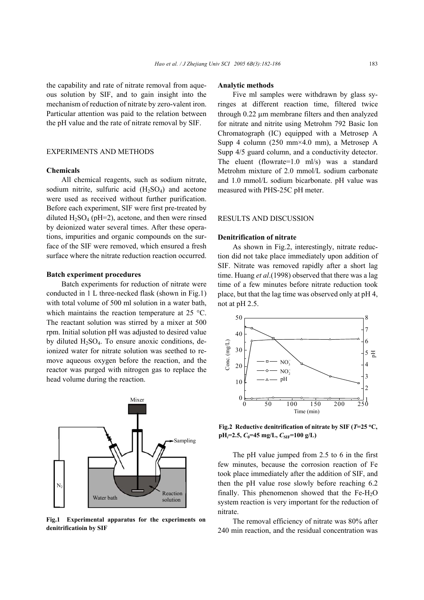the capability and rate of nitrate removal from aqueous solution by SIF, and to gain insight into the mechanism of reduction of nitrate by zero-valent iron. Particular attention was paid to the relation between the pH value and the rate of nitrate removal by SIF.

# EXPERIMENTS AND METHODS

## **Chemicals**

All chemical reagents, such as sodium nitrate, sodium nitrite, sulfuric acid  $(H_2SO_4)$  and acetone were used as received without further purification. Before each experiment, SIF were first pre-treated by diluted  $H_2SO_4$  (pH=2), acetone, and then were rinsed by deionized water several times. After these operations, impurities and organic compounds on the surface of the SIF were removed, which ensured a fresh surface where the nitrate reduction reaction occurred.

#### **Batch experiment procedures**

Batch experiments for reduction of nitrate were conducted in 1 L three-necked flask (shown in Fig.1) with total volume of 500 ml solution in a water bath, which maintains the reaction temperature at 25 °C. The reactant solution was stirred by a mixer at 500 rpm. Initial solution pH was adjusted to desired value by diluted  $H_2SO_4$ . To ensure anoxic conditions, deionized water for nitrate solution was seethed to remove aqueous oxygen before the reaction, and the reactor was purged with nitrogen gas to replace the head volume during the reaction.



**Fig.1 Experimental apparatus for the experiments on denitrificatioin by SIF**

#### **Analytic methods**

Five ml samples were withdrawn by glass syringes at different reaction time, filtered twice through 0.22 µm membrane filters and then analyzed for nitrate and nitrite using Metrohm 792 Basic Ion Chromatograph (IC) equipped with a Metrosep A Supp 4 column (250 mm×4.0 mm), a Metrosep A Supp 4/5 guard column, and a conductivity detector. The eluent (flowrate=1.0 ml/s) was a standard Metrohm mixture of 2.0 mmol/L sodium carbonate and 1.0 mmol/L sodium bicarbonate. pH value was measured with PHS-25C pH meter.

### RESULTS AND DISCUSSION

#### **Denitrification of nitrate**

As shown in Fig.2, interestingly, nitrate reduction did not take place immediately upon addition of SIF. Nitrate was removed rapidly after a short lag time. Huang *et al*.(1998) observed that there was a lag time of a few minutes before nitrate reduction took place, but that the lag time was observed only at pH 4, not at pH 2.5.



**Fig.2 Reductive denitrification of nitrate by SIF (***T***=25** °**C,**  $pH_i=2.5$ ,  $C_0=45$  mg/L,  $C_{SIF}=100$  g/L)

The pH value jumped from 2.5 to 6 in the first few minutes, because the corrosion reaction of Fe took place immediately after the addition of SIF, and then the pH value rose slowly before reaching 6.2 finally. This phenomenon showed that the  $Fe-H<sub>2</sub>O$ system reaction is very important for the reduction of nitrate.

The removal efficiency of nitrate was 80% after 240 min reaction, and the residual concentration was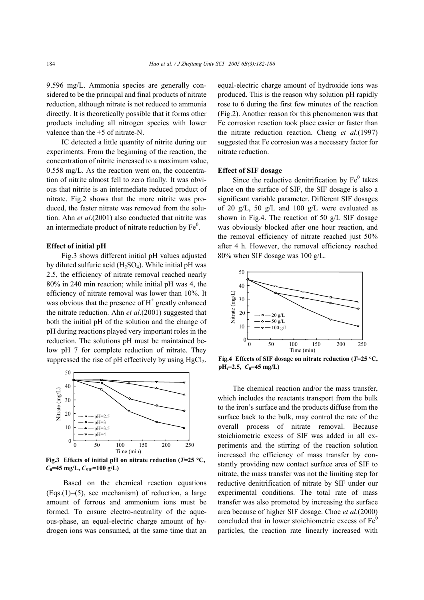9.596 mg/L. Ammonia species are generally considered to be the principal and final products of nitrate reduction, although nitrate is not reduced to ammonia directly. It is theoretically possible that it forms other products including all nitrogen species with lower valence than the +5 of nitrate-N.

IC detected a little quantity of nitrite during our experiments. From the beginning of the reaction, the concentration of nitrite increased to a maximum value, 0.558 mg/L. As the reaction went on, the concentration of nitrite almost fell to zero finally. It was obvious that nitrite is an intermediate reduced product of nitrate. Fig.2 shows that the more nitrite was produced, the faster nitrate was removed from the solution. Ahn *et al*.(2001) also conducted that nitrite was an intermediate product of nitrate reduction by  $Fe<sup>0</sup>$ .

## **Effect of initial pH**

Fig.3 shows different initial pH values adjusted by diluted sulfuric acid  $(H_2SO_4)$ . While initial pH was 2.5, the efficiency of nitrate removal reached nearly 80% in 240 min reaction; while initial pH was 4, the efficiency of nitrate removal was lower than 10%. It was obvious that the presence of  $H^+$  greatly enhanced the nitrate reduction. Ahn *et al*.(2001) suggested that both the initial pH of the solution and the change of pH during reactions played very important roles in the reduction. The solutions pH must be maintained below pH 7 for complete reduction of nitrate. They suppressed the rise of  $pH$  effectively by using  $HgCl<sub>2</sub>$ .



**Fig.3** Effects of initial pH on nitrate reduction ( $T=25$  °C,  $C_0$ =45 mg/L,  $C_{SIF}$ =100 g/L)

 Based on the chemical reaction equations (Eqs.(1)−(5), see mechanism) of reduction, a large amount of ferrous and ammonium ions must be formed. To ensure electro-neutrality of the aqueous-phase, an equal-electric charge amount of hydrogen ions was consumed, at the same time that an equal-electric charge amount of hydroxide ions was produced. This is the reason why solution pH rapidly rose to 6 during the first few minutes of the reaction (Fig.2). Another reason for this phenomenon was that Fe corrosion reaction took place easier or faster than the nitrate reduction reaction. Cheng *et al*.(1997) suggested that Fe corrosion was a necessary factor for nitrate reduction.

#### **Effect of SIF dosage**

Since the reductive denitrification by  $Fe<sup>0</sup>$  takes place on the surface of SIF, the SIF dosage is also a significant variable parameter. Different SIF dosages of 20 g/L, 50 g/L and 100 g/L were evaluated as shown in Fig.4. The reaction of 50 g/L SIF dosage was obviously blocked after one hour reaction, and the removal efficiency of nitrate reached just 50% after 4 h. However, the removal efficiency reached 80% when SIF dosage was 100 g/L.



**Fig.4 Effects of SIF dosage on nitrate reduction (***T***=25** °**C, pH***i***=2.5,** *C***0=45 mg/L)** 

The chemical reaction and/or the mass transfer, which includes the reactants transport from the bulk to the iron's surface and the products diffuse from the surface back to the bulk, may control the rate of the overall process of nitrate removal. Because stoichiometric excess of SIF was added in all experiments and the stirring of the reaction solution increased the efficiency of mass transfer by constantly providing new contact surface area of SIF to nitrate, the mass transfer was not the limiting step for reductive denitrification of nitrate by SIF under our experimental conditions. The total rate of mass transfer was also promoted by increasing the surface area because of higher SIF dosage. Choe *et al*.(2000) concluded that in lower stoichiometric excess of  $Fe<sup>0</sup>$ particles, the reaction rate linearly increased with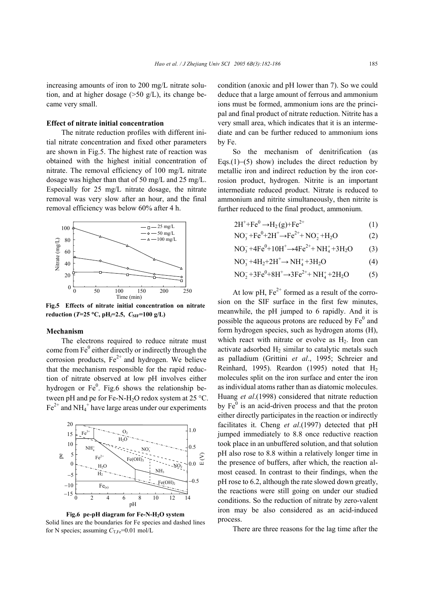increasing amounts of iron to 200 mg/L nitrate solution, and at higher dosage  $(>50 \text{ g/L})$ , its change became very small.

# **Effect of nitrate initial concentration**

The nitrate reduction profiles with different initial nitrate concentration and fixed other parameters are shown in Fig.5. The highest rate of reaction was obtained with the highest initial concentration of nitrate. The removal efficiency of 100 mg/L nitrate dosage was higher than that of 50 mg/L and 25 mg/L. Especially for 25 mg/L nitrate dosage, the nitrate removal was very slow after an hour, and the final removal efficiency was below 60% after 4 h.



**Fig.5 Effects of nitrate initial concentration on nitrate reduction (***T***=25** °**C, pH***i***=2.5,** *C***SIF=100 g/L)**

#### **Mechanism**

The electrons required to reduce nitrate must come from  $Fe<sup>0</sup>$  either directly or indirectly through the corrosion products,  $Fe^{2+}$  and hydrogen. We believe that the mechanism responsible for the rapid reduction of nitrate observed at low pH involves either hydrogen or  $Fe<sup>0</sup>$ . Fig.6 shows the relationship between pH and pe for Fe-N-H<sub>2</sub>O redox system at 25 °C.  $\text{Fe}^{2+}$  and NH<sub>4</sub><sup>+</sup> have large areas under our experiments



Fig.6 pe-pH diagram for Fe-N-H<sub>2</sub>O system Solid lines are the boundaries for Fe species and dashed lines for N species; assuming  $C_{T,Fe}$ =0.01 mol/L

condition (anoxic and pH lower than 7). So we could deduce that a large amount of ferrous and ammonium ions must be formed, ammonium ions are the principal and final product of nitrate reduction. Nitrite has a very small area, which indicates that it is an intermediate and can be further reduced to ammonium ions by Fe.

So the mechanism of denitrification (as Eqs.(1)–(5) show) includes the direct reduction by metallic iron and indirect reduction by the iron corrosion product, hydrogen. Nitrite is an important intermediate reduced product. Nitrate is reduced to ammonium and nitrite simultaneously, then nitrite is further reduced to the final product, ammonium.

$$
2H^+ + Fe^0 \rightarrow H_2(g) + Fe^{2+}
$$
 (1)

$$
NO_3^- + Fe^0 + 2H^+ \to Fe^{2+} + NO_2^- + H_2O
$$
 (2)

$$
NO_3^- + 4Fe^0 + 10H^+ \rightarrow 4Fe^{2+} + NH_4^+ + 3H_2O \tag{3}
$$

- $NO_3^- + 4H_2 + 2H^+ \rightarrow NH_4^+ + 3H_2O$  (4)
- $NO_2^- + 3Fe^0 + 8H^+ \rightarrow 3Fe^{2+} + NH_4^+ + 2H_2O$  (5)

At low pH,  $Fe^{2+}$  formed as a result of the corrosion on the SIF surface in the first few minutes, meanwhile, the pH jumped to 6 rapidly. And it is possible the aqueous protons are reduced by  $Fe<sup>0</sup>$  and form hydrogen species, such as hydrogen atoms (H), which react with nitrate or evolve as  $H<sub>2</sub>$ . Iron can activate adsorbed  $H_2$  similar to catalytic metals such as palladium (Grittini *et al*., 1995; Schreier and Reinhard, 1995). Reardon (1995) noted that H2 molecules split on the iron surface and enter the iron as individual atoms rather than as diatomic molecules. Huang *et al*.(1998) considered that nitrate reduction by  $Fe<sup>0</sup>$  is an acid-driven process and that the proton either directly participates in the reaction or indirectly facilitates it. Cheng *et al*.(1997) detected that pH jumped immediately to 8.8 once reductive reaction took place in an unbuffered solution, and that solution pH also rose to 8.8 within a relatively longer time in the presence of buffers, after which, the reaction almost ceased. In contrast to their findings, when the pH rose to 6.2, although the rate slowed down greatly, the reactions were still going on under our studied conditions. So the reduction of nitrate by zero-valent iron may be also considered as an acid-induced process.

There are three reasons for the lag time after the